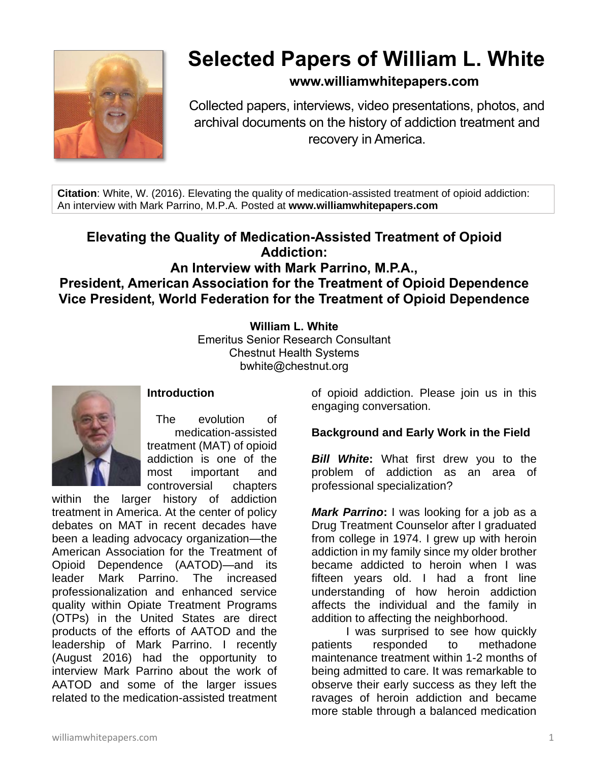

# **Selected Papers of William L. White**

# **www.williamwhitepapers.com**

Collected papers, interviews, video presentations, photos, and archival documents on the history of addiction treatment and recovery in America.

**Citation**: White, W. (2016). Elevating the quality of medication-assisted treatment of opioid addiction: An interview with Mark Parrino, M.P.A. Posted at **www.williamwhitepapers.com**

# **Elevating the Quality of Medication-Assisted Treatment of Opioid Addiction: An Interview with Mark Parrino, M.P.A., President, American Association for the Treatment of Opioid Dependence Vice President, World Federation for the Treatment of Opioid Dependence**

**William L. White**

Emeritus Senior Research Consultant Chestnut Health Systems bwhite@chestnut.org



## **Introduction**

The evolution of medication-assisted treatment (MAT) of opioid addiction is one of the most important and controversial chapters

within the larger history of addiction treatment in America. At the center of policy debates on MAT in recent decades have been a leading advocacy organization—the American Association for the Treatment of Opioid Dependence (AATOD)—and its leader Mark Parrino. The increased professionalization and enhanced service quality within Opiate Treatment Programs (OTPs) in the United States are direct products of the efforts of AATOD and the leadership of Mark Parrino. I recently (August 2016) had the opportunity to interview Mark Parrino about the work of AATOD and some of the larger issues related to the medication-assisted treatment

of opioid addiction. Please join us in this engaging conversation.

## **Background and Early Work in the Field**

**Bill White:** What first drew you to the problem of addiction as an area of professional specialization?

*Mark Parrino***:** I was looking for a job as a Drug Treatment Counselor after I graduated from college in 1974. I grew up with heroin addiction in my family since my older brother became addicted to heroin when I was fifteen years old. I had a front line understanding of how heroin addiction affects the individual and the family in addition to affecting the neighborhood.

I was surprised to see how quickly patients responded to methadone maintenance treatment within 1-2 months of being admitted to care. It was remarkable to observe their early success as they left the ravages of heroin addiction and became more stable through a balanced medication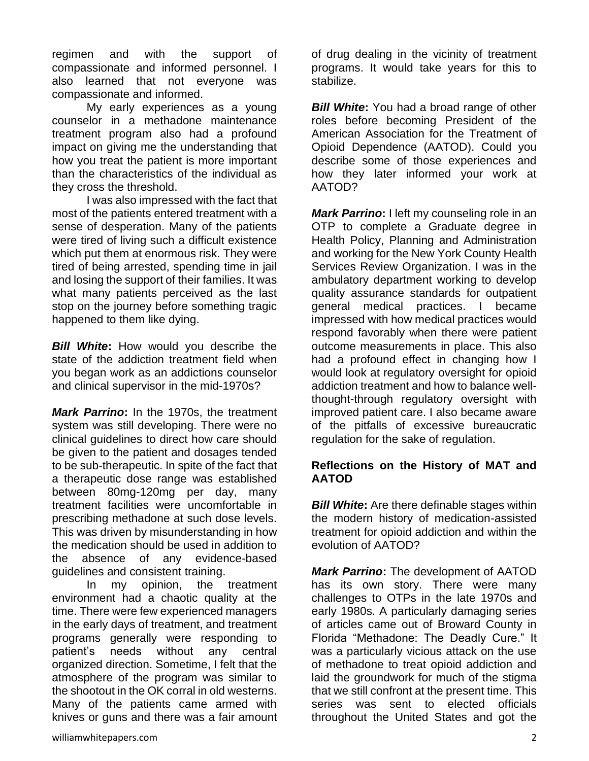regimen and with the support of compassionate and informed personnel. I also learned that not everyone was compassionate and informed.

My early experiences as a young counselor in a methadone maintenance treatment program also had a profound impact on giving me the understanding that how you treat the patient is more important than the characteristics of the individual as they cross the threshold.

I was also impressed with the fact that most of the patients entered treatment with a sense of desperation. Many of the patients were tired of living such a difficult existence which put them at enormous risk. They were tired of being arrested, spending time in jail and losing the support of their families. It was what many patients perceived as the last stop on the journey before something tragic happened to them like dying.

*Bill White*: How would you describe the state of the addiction treatment field when you began work as an addictions counselor and clinical supervisor in the mid-1970s?

*Mark Parrino***:** In the 1970s, the treatment system was still developing. There were no clinical guidelines to direct how care should be given to the patient and dosages tended to be sub-therapeutic. In spite of the fact that a therapeutic dose range was established between 80mg-120mg per day, many treatment facilities were uncomfortable in prescribing methadone at such dose levels. This was driven by misunderstanding in how the medication should be used in addition to the absence of any evidence-based guidelines and consistent training.

In my opinion, the treatment environment had a chaotic quality at the time. There were few experienced managers in the early days of treatment, and treatment programs generally were responding to patient's needs without any central organized direction. Sometime, I felt that the atmosphere of the program was similar to the shootout in the OK corral in old westerns. Many of the patients came armed with knives or guns and there was a fair amount

of drug dealing in the vicinity of treatment programs. It would take years for this to stabilize.

**Bill White:** You had a broad range of other roles before becoming President of the American Association for the Treatment of Opioid Dependence (AATOD). Could you describe some of those experiences and how they later informed your work at AATOD?

*Mark Parrino***:** I left my counseling role in an OTP to complete a Graduate degree in Health Policy, Planning and Administration and working for the New York County Health Services Review Organization. I was in the ambulatory department working to develop quality assurance standards for outpatient general medical practices. I became impressed with how medical practices would respond favorably when there were patient outcome measurements in place. This also had a profound effect in changing how I would look at regulatory oversight for opioid addiction treatment and how to balance wellthought-through regulatory oversight with improved patient care. I also became aware of the pitfalls of excessive bureaucratic regulation for the sake of regulation.

#### **Reflections on the History of MAT and AATOD**

*Bill White:* Are there definable stages within the modern history of medication-assisted treatment for opioid addiction and within the evolution of AATOD?

*Mark Parrino***:** The development of AATOD has its own story. There were many challenges to OTPs in the late 1970s and early 1980s. A particularly damaging series of articles came out of Broward County in Florida "Methadone: The Deadly Cure." It was a particularly vicious attack on the use of methadone to treat opioid addiction and laid the groundwork for much of the stigma that we still confront at the present time. This series was sent to elected officials throughout the United States and got the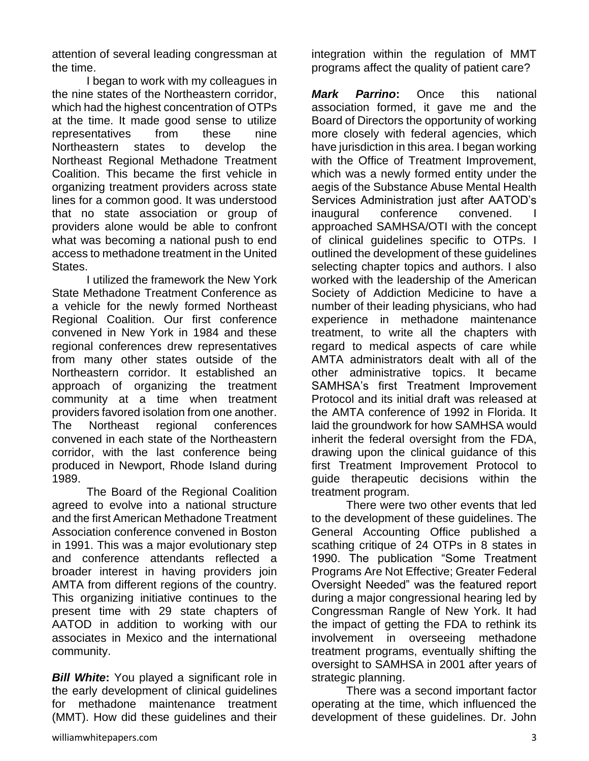attention of several leading congressman at the time.

I began to work with my colleagues in the nine states of the Northeastern corridor, which had the highest concentration of OTPs at the time. It made good sense to utilize representatives from these nine Northeastern states to develop the Northeast Regional Methadone Treatment Coalition. This became the first vehicle in organizing treatment providers across state lines for a common good. It was understood that no state association or group of providers alone would be able to confront what was becoming a national push to end access to methadone treatment in the United States.

I utilized the framework the New York State Methadone Treatment Conference as a vehicle for the newly formed Northeast Regional Coalition. Our first conference convened in New York in 1984 and these regional conferences drew representatives from many other states outside of the Northeastern corridor. It established an approach of organizing the treatment community at a time when treatment providers favored isolation from one another. The Northeast regional conferences convened in each state of the Northeastern corridor, with the last conference being produced in Newport, Rhode Island during 1989.

The Board of the Regional Coalition agreed to evolve into a national structure and the first American Methadone Treatment Association conference convened in Boston in 1991. This was a major evolutionary step and conference attendants reflected a broader interest in having providers join AMTA from different regions of the country. This organizing initiative continues to the present time with 29 state chapters of AATOD in addition to working with our associates in Mexico and the international community.

**Bill White:** You played a significant role in the early development of clinical guidelines for methadone maintenance treatment (MMT). How did these guidelines and their

integration within the regulation of MMT programs affect the quality of patient care?

*Mark Parrino***:** Once this national association formed, it gave me and the Board of Directors the opportunity of working more closely with federal agencies, which have jurisdiction in this area. I began working with the Office of Treatment Improvement, which was a newly formed entity under the aegis of the Substance Abuse Mental Health Services Administration just after AATOD's inaugural conference convened. I approached SAMHSA/OTI with the concept of clinical guidelines specific to OTPs. I outlined the development of these guidelines selecting chapter topics and authors. I also worked with the leadership of the American Society of Addiction Medicine to have a number of their leading physicians, who had experience in methadone maintenance treatment, to write all the chapters with regard to medical aspects of care while AMTA administrators dealt with all of the other administrative topics. It became SAMHSA's first Treatment Improvement Protocol and its initial draft was released at the AMTA conference of 1992 in Florida. It laid the groundwork for how SAMHSA would inherit the federal oversight from the FDA, drawing upon the clinical guidance of this first Treatment Improvement Protocol to guide therapeutic decisions within the treatment program.

There were two other events that led to the development of these guidelines. The General Accounting Office published a scathing critique of 24 OTPs in 8 states in 1990. The publication "Some Treatment Programs Are Not Effective; Greater Federal Oversight Needed" was the featured report during a major congressional hearing led by Congressman Rangle of New York. It had the impact of getting the FDA to rethink its involvement in overseeing methadone treatment programs, eventually shifting the oversight to SAMHSA in 2001 after years of strategic planning.

There was a second important factor operating at the time, which influenced the development of these guidelines. Dr. John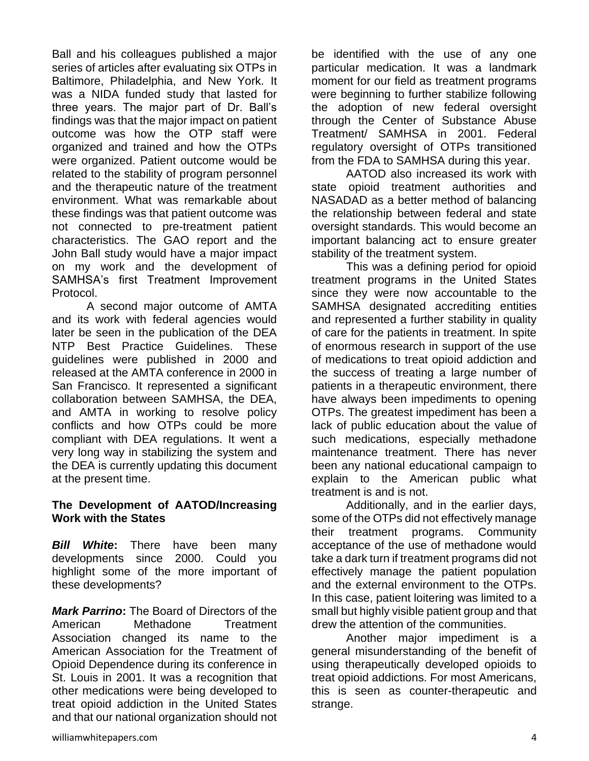Ball and his colleagues published a major series of articles after evaluating six OTPs in Baltimore, Philadelphia, and New York. It was a NIDA funded study that lasted for three years. The major part of Dr. Ball's findings was that the major impact on patient outcome was how the OTP staff were organized and trained and how the OTPs were organized. Patient outcome would be related to the stability of program personnel and the therapeutic nature of the treatment environment. What was remarkable about these findings was that patient outcome was not connected to pre-treatment patient characteristics. The GAO report and the John Ball study would have a major impact on my work and the development of SAMHSA's first Treatment Improvement Protocol.

A second major outcome of AMTA and its work with federal agencies would later be seen in the publication of the DEA NTP Best Practice Guidelines. These guidelines were published in 2000 and released at the AMTA conference in 2000 in San Francisco. It represented a significant collaboration between SAMHSA, the DEA, and AMTA in working to resolve policy conflicts and how OTPs could be more compliant with DEA regulations. It went a very long way in stabilizing the system and the DEA is currently updating this document at the present time.

#### **The Development of AATOD/Increasing Work with the States**

*Bill White***:** There have been many developments since 2000. Could you highlight some of the more important of these developments?

*Mark Parrino***:** The Board of Directors of the American Methadone Treatment Association changed its name to the American Association for the Treatment of Opioid Dependence during its conference in St. Louis in 2001. It was a recognition that other medications were being developed to treat opioid addiction in the United States and that our national organization should not

be identified with the use of any one particular medication. It was a landmark moment for our field as treatment programs were beginning to further stabilize following the adoption of new federal oversight through the Center of Substance Abuse Treatment/ SAMHSA in 2001. Federal regulatory oversight of OTPs transitioned from the FDA to SAMHSA during this year.

AATOD also increased its work with state opioid treatment authorities and NASADAD as a better method of balancing the relationship between federal and state oversight standards. This would become an important balancing act to ensure greater stability of the treatment system.

This was a defining period for opioid treatment programs in the United States since they were now accountable to the SAMHSA designated accrediting entities and represented a further stability in quality of care for the patients in treatment. In spite of enormous research in support of the use of medications to treat opioid addiction and the success of treating a large number of patients in a therapeutic environment, there have always been impediments to opening OTPs. The greatest impediment has been a lack of public education about the value of such medications, especially methadone maintenance treatment. There has never been any national educational campaign to explain to the American public what treatment is and is not.

Additionally, and in the earlier days, some of the OTPs did not effectively manage their treatment programs. Community acceptance of the use of methadone would take a dark turn if treatment programs did not effectively manage the patient population and the external environment to the OTPs. In this case, patient loitering was limited to a small but highly visible patient group and that drew the attention of the communities.

Another major impediment is a general misunderstanding of the benefit of using therapeutically developed opioids to treat opioid addictions. For most Americans, this is seen as counter-therapeutic and strange.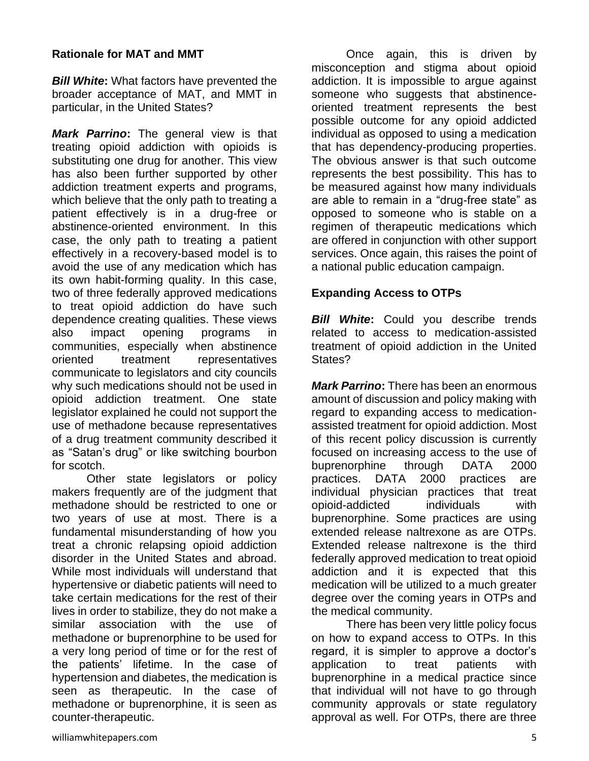#### **Rationale for MAT and MMT**

*Bill White***:** What factors have prevented the broader acceptance of MAT, and MMT in particular, in the United States?

*Mark Parrino***:** The general view is that treating opioid addiction with opioids is substituting one drug for another. This view has also been further supported by other addiction treatment experts and programs, which believe that the only path to treating a patient effectively is in a drug-free or abstinence-oriented environment. In this case, the only path to treating a patient effectively in a recovery-based model is to avoid the use of any medication which has its own habit-forming quality. In this case, two of three federally approved medications to treat opioid addiction do have such dependence creating qualities. These views also impact opening programs in communities, especially when abstinence oriented treatment representatives communicate to legislators and city councils why such medications should not be used in opioid addiction treatment. One state legislator explained he could not support the use of methadone because representatives of a drug treatment community described it as "Satan's drug" or like switching bourbon for scotch.

Other state legislators or policy makers frequently are of the judgment that methadone should be restricted to one or two years of use at most. There is a fundamental misunderstanding of how you treat a chronic relapsing opioid addiction disorder in the United States and abroad. While most individuals will understand that hypertensive or diabetic patients will need to take certain medications for the rest of their lives in order to stabilize, they do not make a similar association with the use of methadone or buprenorphine to be used for a very long period of time or for the rest of the patients' lifetime. In the case of hypertension and diabetes, the medication is seen as therapeutic. In the case of methadone or buprenorphine, it is seen as counter-therapeutic.

Once again, this is driven by misconception and stigma about opioid addiction. It is impossible to argue against someone who suggests that abstinenceoriented treatment represents the best possible outcome for any opioid addicted individual as opposed to using a medication that has dependency-producing properties. The obvious answer is that such outcome represents the best possibility. This has to be measured against how many individuals are able to remain in a "drug-free state" as opposed to someone who is stable on a regimen of therapeutic medications which are offered in conjunction with other support services. Once again, this raises the point of a national public education campaign.

#### **Expanding Access to OTPs**

**Bill White:** Could you describe trends related to access to medication-assisted treatment of opioid addiction in the United States?

*Mark Parrino***:** There has been an enormous amount of discussion and policy making with regard to expanding access to medicationassisted treatment for opioid addiction. Most of this recent policy discussion is currently focused on increasing access to the use of buprenorphine through DATA 2000 practices. DATA 2000 practices are individual physician practices that treat opioid-addicted individuals with buprenorphine. Some practices are using extended release naltrexone as are OTPs. Extended release naltrexone is the third federally approved medication to treat opioid addiction and it is expected that this medication will be utilized to a much greater degree over the coming years in OTPs and the medical community.

There has been very little policy focus on how to expand access to OTPs. In this regard, it is simpler to approve a doctor's application to treat patients with buprenorphine in a medical practice since that individual will not have to go through community approvals or state regulatory approval as well. For OTPs, there are three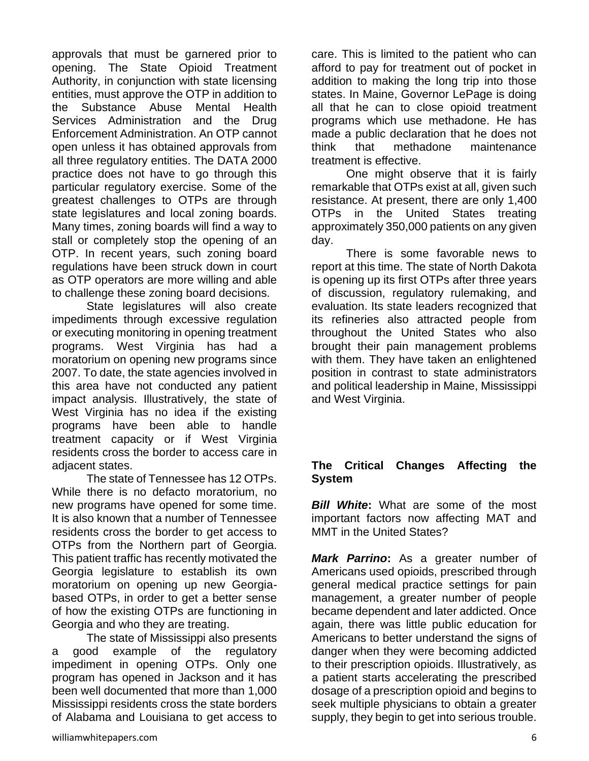approvals that must be garnered prior to opening. The State Opioid Treatment Authority, in conjunction with state licensing entities, must approve the OTP in addition to the Substance Abuse Mental Health Services Administration and the Drug Enforcement Administration. An OTP cannot open unless it has obtained approvals from all three regulatory entities. The DATA 2000 practice does not have to go through this particular regulatory exercise. Some of the greatest challenges to OTPs are through state legislatures and local zoning boards. Many times, zoning boards will find a way to stall or completely stop the opening of an OTP. In recent years, such zoning board regulations have been struck down in court as OTP operators are more willing and able to challenge these zoning board decisions.

State legislatures will also create impediments through excessive regulation or executing monitoring in opening treatment programs. West Virginia has had a moratorium on opening new programs since 2007. To date, the state agencies involved in this area have not conducted any patient impact analysis. Illustratively, the state of West Virginia has no idea if the existing programs have been able to handle treatment capacity or if West Virginia residents cross the border to access care in adjacent states.

The state of Tennessee has 12 OTPs. While there is no defacto moratorium, no new programs have opened for some time. It is also known that a number of Tennessee residents cross the border to get access to OTPs from the Northern part of Georgia. This patient traffic has recently motivated the Georgia legislature to establish its own moratorium on opening up new Georgiabased OTPs, in order to get a better sense of how the existing OTPs are functioning in Georgia and who they are treating.

The state of Mississippi also presents a good example of the regulatory impediment in opening OTPs. Only one program has opened in Jackson and it has been well documented that more than 1,000 Mississippi residents cross the state borders of Alabama and Louisiana to get access to care. This is limited to the patient who can afford to pay for treatment out of pocket in addition to making the long trip into those states. In Maine, Governor LePage is doing all that he can to close opioid treatment programs which use methadone. He has made a public declaration that he does not think that methadone maintenance treatment is effective.

One might observe that it is fairly remarkable that OTPs exist at all, given such resistance. At present, there are only 1,400 OTPs in the United States treating approximately 350,000 patients on any given day.

There is some favorable news to report at this time. The state of North Dakota is opening up its first OTPs after three years of discussion, regulatory rulemaking, and evaluation. Its state leaders recognized that its refineries also attracted people from throughout the United States who also brought their pain management problems with them. They have taken an enlightened position in contrast to state administrators and political leadership in Maine, Mississippi and West Virginia.

#### **The Critical Changes Affecting the System**

*Bill White:* What are some of the most important factors now affecting MAT and MMT in the United States?

*Mark Parrino***:** As a greater number of Americans used opioids, prescribed through general medical practice settings for pain management, a greater number of people became dependent and later addicted. Once again, there was little public education for Americans to better understand the signs of danger when they were becoming addicted to their prescription opioids. Illustratively, as a patient starts accelerating the prescribed dosage of a prescription opioid and begins to seek multiple physicians to obtain a greater supply, they begin to get into serious trouble.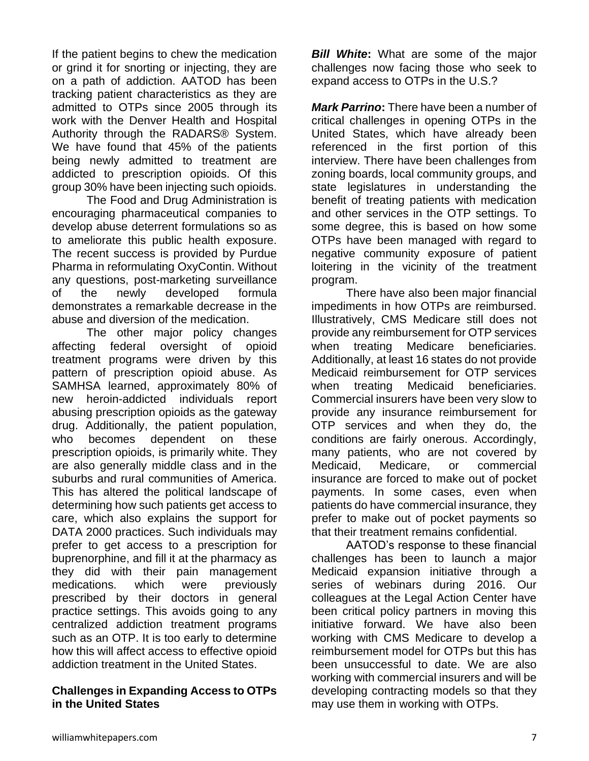If the patient begins to chew the medication or grind it for snorting or injecting, they are on a path of addiction. AATOD has been tracking patient characteristics as they are admitted to OTPs since 2005 through its work with the Denver Health and Hospital Authority through the RADARS® System. We have found that 45% of the patients being newly admitted to treatment are addicted to prescription opioids. Of this group 30% have been injecting such opioids.

The Food and Drug Administration is encouraging pharmaceutical companies to develop abuse deterrent formulations so as to ameliorate this public health exposure. The recent success is provided by Purdue Pharma in reformulating OxyContin. Without any questions, post-marketing surveillance of the newly developed formula demonstrates a remarkable decrease in the abuse and diversion of the medication.

The other major policy changes affecting federal oversight of opioid treatment programs were driven by this pattern of prescription opioid abuse. As SAMHSA learned, approximately 80% of new heroin-addicted individuals report abusing prescription opioids as the gateway drug. Additionally, the patient population, who becomes dependent on these prescription opioids, is primarily white. They are also generally middle class and in the suburbs and rural communities of America. This has altered the political landscape of determining how such patients get access to care, which also explains the support for DATA 2000 practices. Such individuals may prefer to get access to a prescription for buprenorphine, and fill it at the pharmacy as they did with their pain management medications. which were previously prescribed by their doctors in general practice settings. This avoids going to any centralized addiction treatment programs such as an OTP. It is too early to determine how this will affect access to effective opioid addiction treatment in the United States.

#### **Challenges in Expanding Access to OTPs in the United States**

*Bill White*: What are some of the major challenges now facing those who seek to expand access to OTPs in the U.S.?

*Mark Parrino***:** There have been a number of critical challenges in opening OTPs in the United States, which have already been referenced in the first portion of this interview. There have been challenges from zoning boards, local community groups, and state legislatures in understanding the benefit of treating patients with medication and other services in the OTP settings. To some degree, this is based on how some OTPs have been managed with regard to negative community exposure of patient loitering in the vicinity of the treatment program.

There have also been major financial impediments in how OTPs are reimbursed. Illustratively, CMS Medicare still does not provide any reimbursement for OTP services when treating Medicare beneficiaries. Additionally, at least 16 states do not provide Medicaid reimbursement for OTP services when treating Medicaid beneficiaries. Commercial insurers have been very slow to provide any insurance reimbursement for OTP services and when they do, the conditions are fairly onerous. Accordingly, many patients, who are not covered by Medicaid, Medicare, or commercial insurance are forced to make out of pocket payments. In some cases, even when patients do have commercial insurance, they prefer to make out of pocket payments so that their treatment remains confidential.

AATOD's response to these financial challenges has been to launch a major Medicaid expansion initiative through a series of webinars during 2016. Our colleagues at the Legal Action Center have been critical policy partners in moving this initiative forward. We have also been working with CMS Medicare to develop a reimbursement model for OTPs but this has been unsuccessful to date. We are also working with commercial insurers and will be developing contracting models so that they may use them in working with OTPs.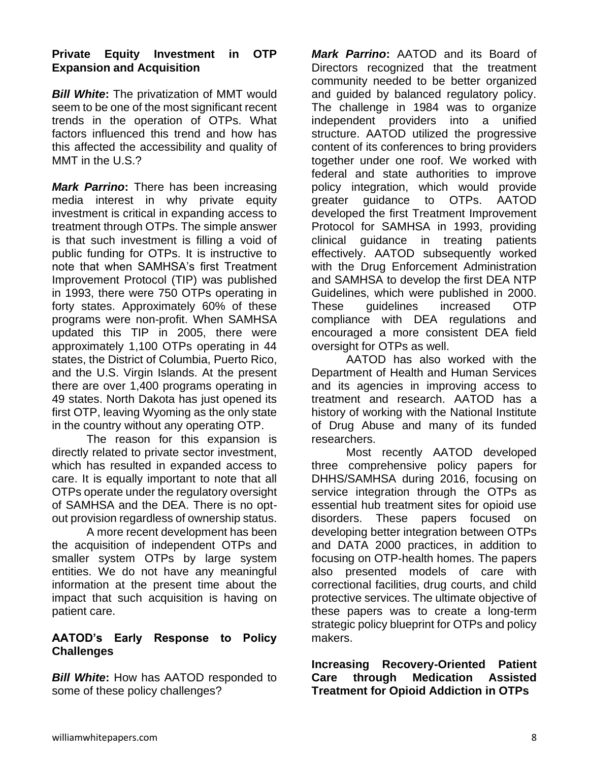#### **Private Equity Investment in OTP Expansion and Acquisition**

*Bill White***:** The privatization of MMT would seem to be one of the most significant recent trends in the operation of OTPs. What factors influenced this trend and how has this affected the accessibility and quality of MMT in the U.S.?

*Mark Parrino***:** There has been increasing media interest in why private equity investment is critical in expanding access to treatment through OTPs. The simple answer is that such investment is filling a void of public funding for OTPs. It is instructive to note that when SAMHSA's first Treatment Improvement Protocol (TIP) was published in 1993, there were 750 OTPs operating in forty states. Approximately 60% of these programs were non-profit. When SAMHSA updated this TIP in 2005, there were approximately 1,100 OTPs operating in 44 states, the District of Columbia, Puerto Rico, and the U.S. Virgin Islands. At the present there are over 1,400 programs operating in 49 states. North Dakota has just opened its first OTP, leaving Wyoming as the only state in the country without any operating OTP.

The reason for this expansion is directly related to private sector investment, which has resulted in expanded access to care. It is equally important to note that all OTPs operate under the regulatory oversight of SAMHSA and the DEA. There is no optout provision regardless of ownership status.

A more recent development has been the acquisition of independent OTPs and smaller system OTPs by large system entities. We do not have any meaningful information at the present time about the impact that such acquisition is having on patient care.

#### **AATOD's Early Response to Policy Challenges**

*Bill White:* How has AATOD responded to some of these policy challenges?

*Mark Parrino***:** AATOD and its Board of Directors recognized that the treatment community needed to be better organized and guided by balanced regulatory policy. The challenge in 1984 was to organize independent providers into a unified structure. AATOD utilized the progressive content of its conferences to bring providers together under one roof. We worked with federal and state authorities to improve policy integration, which would provide greater guidance to OTPs. AATOD developed the first Treatment Improvement Protocol for SAMHSA in 1993, providing clinical guidance in treating patients effectively. AATOD subsequently worked with the Drug Enforcement Administration and SAMHSA to develop the first DEA NTP Guidelines, which were published in 2000. These guidelines increased OTP compliance with DEA regulations and encouraged a more consistent DEA field oversight for OTPs as well.

AATOD has also worked with the Department of Health and Human Services and its agencies in improving access to treatment and research. AATOD has a history of working with the National Institute of Drug Abuse and many of its funded researchers.

Most recently AATOD developed three comprehensive policy papers for DHHS/SAMHSA during 2016, focusing on service integration through the OTPs as essential hub treatment sites for opioid use disorders. These papers focused on developing better integration between OTPs and DATA 2000 practices, in addition to focusing on OTP-health homes. The papers also presented models of care with correctional facilities, drug courts, and child protective services. The ultimate objective of these papers was to create a long-term strategic policy blueprint for OTPs and policy makers.

**Increasing Recovery-Oriented Patient Care through Medication Assisted Treatment for Opioid Addiction in OTPs**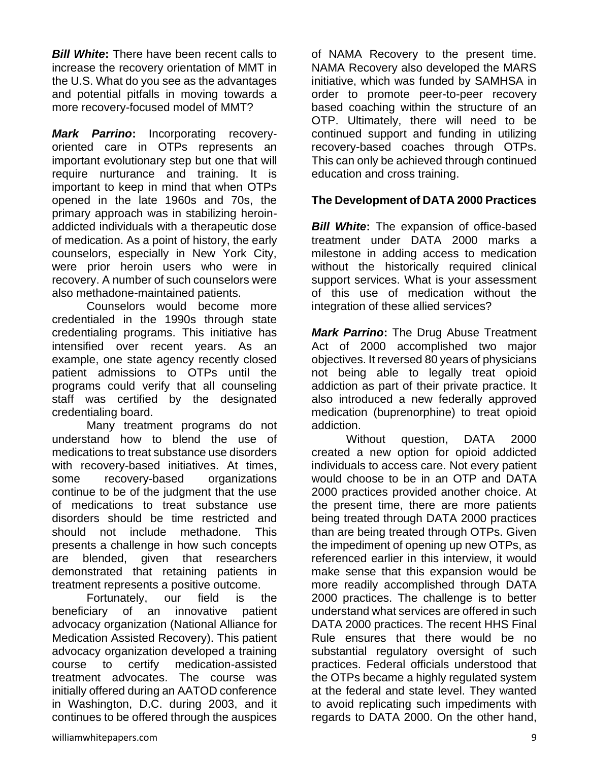**Bill White:** There have been recent calls to increase the recovery orientation of MMT in the U.S. What do you see as the advantages and potential pitfalls in moving towards a more recovery-focused model of MMT?

*Mark Parrino***:** Incorporating recoveryoriented care in OTPs represents an important evolutionary step but one that will require nurturance and training. It is important to keep in mind that when OTPs opened in the late 1960s and 70s, the primary approach was in stabilizing heroinaddicted individuals with a therapeutic dose of medication. As a point of history, the early counselors, especially in New York City, were prior heroin users who were in recovery. A number of such counselors were also methadone-maintained patients.

Counselors would become more credentialed in the 1990s through state credentialing programs. This initiative has intensified over recent years. As an example, one state agency recently closed patient admissions to OTPs until the programs could verify that all counseling staff was certified by the designated credentialing board.

Many treatment programs do not understand how to blend the use of medications to treat substance use disorders with recovery-based initiatives. At times, some recovery-based organizations continue to be of the judgment that the use of medications to treat substance use disorders should be time restricted and should not include methadone. This presents a challenge in how such concepts are blended, given that researchers demonstrated that retaining patients in treatment represents a positive outcome.

Fortunately, our field is the beneficiary of an innovative patient advocacy organization (National Alliance for Medication Assisted Recovery). This patient advocacy organization developed a training course to certify medication-assisted treatment advocates. The course was initially offered during an AATOD conference in Washington, D.C. during 2003, and it continues to be offered through the auspices

of NAMA Recovery to the present time. NAMA Recovery also developed the MARS initiative, which was funded by SAMHSA in order to promote peer-to-peer recovery based coaching within the structure of an OTP. Ultimately, there will need to be continued support and funding in utilizing recovery-based coaches through OTPs. This can only be achieved through continued education and cross training.

## **The Development of DATA 2000 Practices**

*Bill White***:** The expansion of office-based treatment under DATA 2000 marks a milestone in adding access to medication without the historically required clinical support services. What is your assessment of this use of medication without the integration of these allied services?

*Mark Parrino***:** The Drug Abuse Treatment Act of 2000 accomplished two major objectives. It reversed 80 years of physicians not being able to legally treat opioid addiction as part of their private practice. It also introduced a new federally approved medication (buprenorphine) to treat opioid addiction.

Without question, DATA 2000 created a new option for opioid addicted individuals to access care. Not every patient would choose to be in an OTP and DATA 2000 practices provided another choice. At the present time, there are more patients being treated through DATA 2000 practices than are being treated through OTPs. Given the impediment of opening up new OTPs, as referenced earlier in this interview, it would make sense that this expansion would be more readily accomplished through DATA 2000 practices. The challenge is to better understand what services are offered in such DATA 2000 practices. The recent HHS Final Rule ensures that there would be no substantial regulatory oversight of such practices. Federal officials understood that the OTPs became a highly regulated system at the federal and state level. They wanted to avoid replicating such impediments with regards to DATA 2000. On the other hand,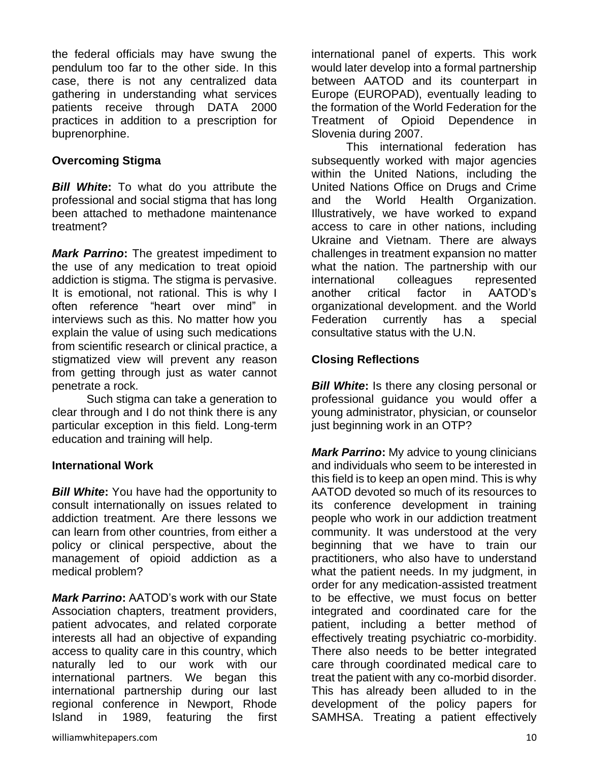the federal officials may have swung the pendulum too far to the other side. In this case, there is not any centralized data gathering in understanding what services patients receive through DATA 2000 practices in addition to a prescription for buprenorphine.

### **Overcoming Stigma**

*Bill White***:** To what do you attribute the professional and social stigma that has long been attached to methadone maintenance treatment?

*Mark Parrino***:** The greatest impediment to the use of any medication to treat opioid addiction is stigma. The stigma is pervasive. It is emotional, not rational. This is why I often reference "heart over mind" in interviews such as this. No matter how you explain the value of using such medications from scientific research or clinical practice, a stigmatized view will prevent any reason from getting through just as water cannot penetrate a rock.

Such stigma can take a generation to clear through and I do not think there is any particular exception in this field. Long-term education and training will help.

#### **International Work**

**Bill White:** You have had the opportunity to consult internationally on issues related to addiction treatment. Are there lessons we can learn from other countries, from either a policy or clinical perspective, about the management of opioid addiction as a medical problem?

*Mark Parrino***:** AATOD's work with our State Association chapters, treatment providers, patient advocates, and related corporate interests all had an objective of expanding access to quality care in this country, which naturally led to our work with our international partners. We began this international partnership during our last regional conference in Newport, Rhode Island in 1989, featuring the first

international panel of experts. This work would later develop into a formal partnership between AATOD and its counterpart in Europe (EUROPAD), eventually leading to the formation of the World Federation for the Treatment of Opioid Dependence in Slovenia during 2007.

This international federation has subsequently worked with major agencies within the United Nations, including the United Nations Office on Drugs and Crime and the World Health Organization. Illustratively, we have worked to expand access to care in other nations, including Ukraine and Vietnam. There are always challenges in treatment expansion no matter what the nation. The partnership with our international colleagues represented another critical factor in AATOD's organizational development. and the World Federation currently has a special consultative status with the U.N.

## **Closing Reflections**

*Bill White:* Is there any closing personal or professional guidance you would offer a young administrator, physician, or counselor just beginning work in an OTP?

*Mark Parrino***:** My advice to young clinicians and individuals who seem to be interested in this field is to keep an open mind. This is why AATOD devoted so much of its resources to its conference development in training people who work in our addiction treatment community. It was understood at the very beginning that we have to train our practitioners, who also have to understand what the patient needs. In my judgment, in order for any medication-assisted treatment to be effective, we must focus on better integrated and coordinated care for the patient, including a better method of effectively treating psychiatric co-morbidity. There also needs to be better integrated care through coordinated medical care to treat the patient with any co-morbid disorder. This has already been alluded to in the development of the policy papers for SAMHSA. Treating a patient effectively